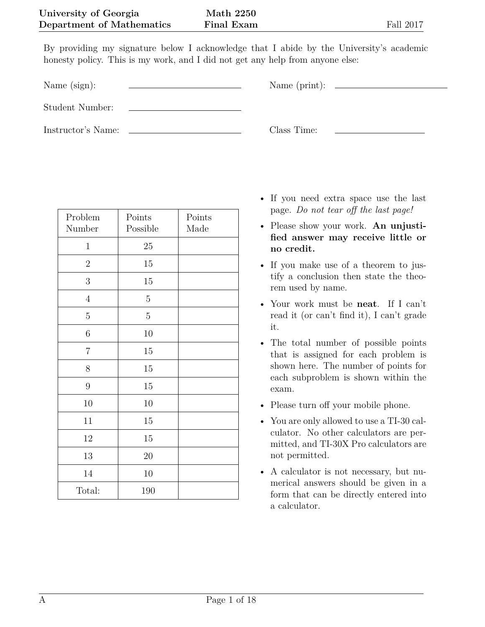By providing my signature below I acknowledge that I abide by the University's academic honesty policy. This is my work, and I did not get any help from anyone else:

Name (sign):  $\qquad \qquad \qquad$  Name (print):

Student Number:

Instructor's Name: Class Time:

| Problem<br>Number | Points<br>Possible | Points<br>Made |
|-------------------|--------------------|----------------|
| $\mathbf{1}$      | 25                 |                |
| $\boldsymbol{2}$  | 15                 |                |
| 3                 | 15                 |                |
| $\overline{4}$    | 5                  |                |
| 5                 | $\bf 5$            |                |
| $\,6$             | 10                 |                |
| $\overline{7}$    | 15                 |                |
| $8\,$             | 15                 |                |
| $\boldsymbol{9}$  | 15                 |                |
| 10                | 10                 |                |
| 11                | 15                 |                |
| 12                | 15                 |                |
| 13                | 20                 |                |
| 14                | 10                 |                |
| Total:            | 190                |                |

- If you need extra space use the last page. *Do not tear off the last page!*
- Please show your work. **An unjustified answer may receive little or no credit.**
- If you make use of a theorem to justify a conclusion then state the theorem used by name.
- Your work must be **neat**. If I can't read it (or can't find it), I can't grade it.
- The total number of possible points that is assigned for each problem is shown here. The number of points for each subproblem is shown within the exam.
- Please turn off your mobile phone.
- You are only allowed to use a TI-30 calculator. No other calculators are permitted, and TI-30X Pro calculators are not permitted.
- A calculator is not necessary, but numerical answers should be given in a form that can be directly entered into a calculator.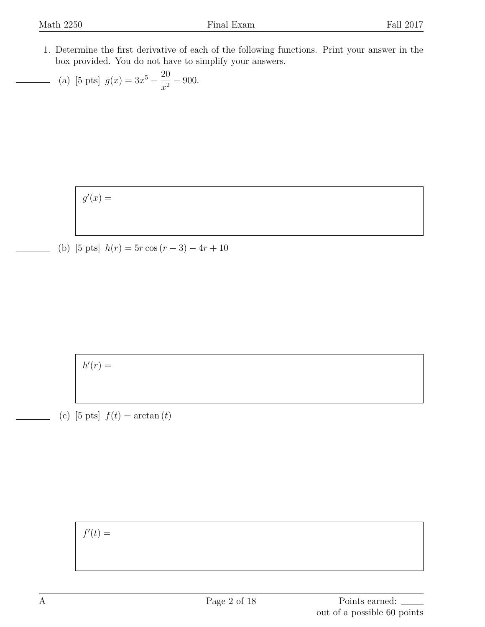1. Determine the first derivative of each of the following functions. Print your answer in the box provided. You do not have to simplify your answers.

(a) [5 pts] 
$$
g(x) = 3x^5 - \frac{20}{x^2} - 900.
$$

 $g'(x) =$ 

(b) [5 pts]  $h(r) = 5r \cos(r - 3) - 4r + 10$ 

 $h'(r) =$ 

(c)  $[5 \text{ pts}] f(t) = \arctan(t)$ 

 $f'(t) =$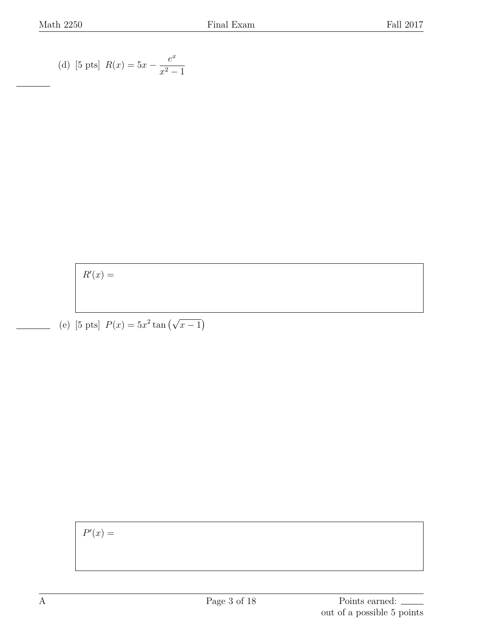(d) [5 pts] 
$$
R(x) = 5x - \frac{e^x}{x^2 - 1}
$$

 $R'(x) =$ 

(e) [5 pts]  $P(x) = 5x^2 \tan(\sqrt{x-1})$ 

 $P'(x) =$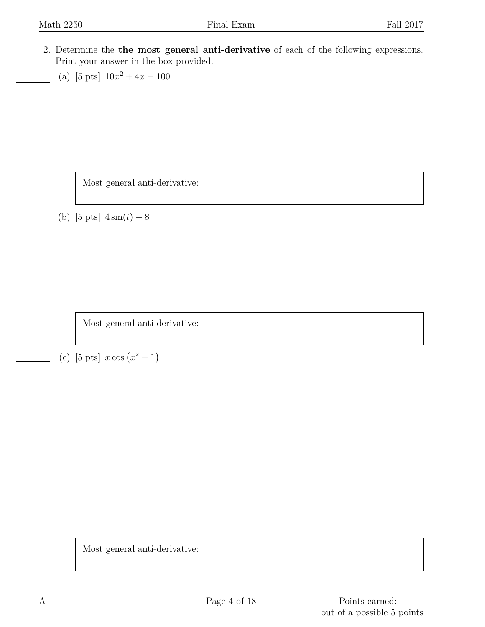- 2. Determine the **the most general anti-derivative** of each of the following expressions. Print your answer in the box provided.
	- (a) [5 pts]  $10x^2 + 4x 100$

Most general anti-derivative:

(b) [5 pts] 4 sin(*t*) *−* 8

Most general anti-derivative:

(c) [5 pts]  $x \cos(x^2 + 1)$ 

Most general anti-derivative: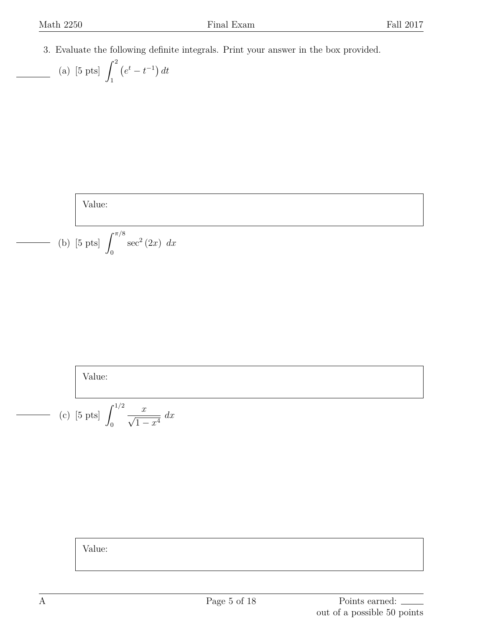3. Evaluate the following definite integrals. Print your answer in the box provided.

(a) [5 pts] 
$$
\int_{1}^{2} (e^{t} - t^{-1}) dt
$$

Value:

(b) [5 pts] 
$$
\int_0^{\pi/8} \sec^2 (2x) dx
$$

Value:

(c) [5 pts] 
$$
\int_0^{1/2} \frac{x}{\sqrt{1-x^4}} dx
$$

Value: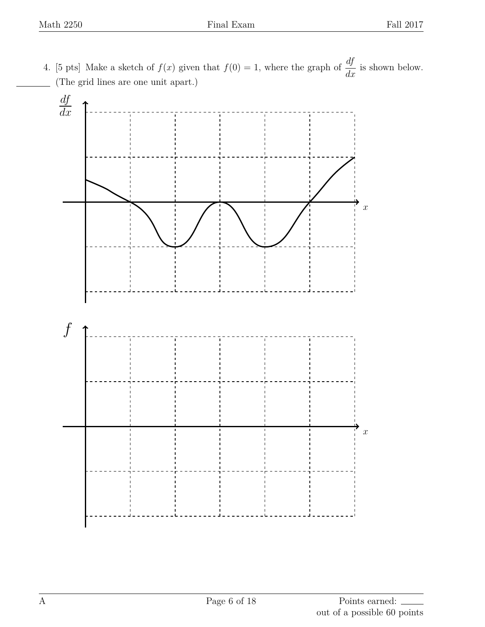4. [5 pts] Make a sketch of  $f(x)$  given that  $f(0) = 1$ , where the graph of  $\frac{df}{dx}$  is shown below. (The grid lines are one unit apart.)

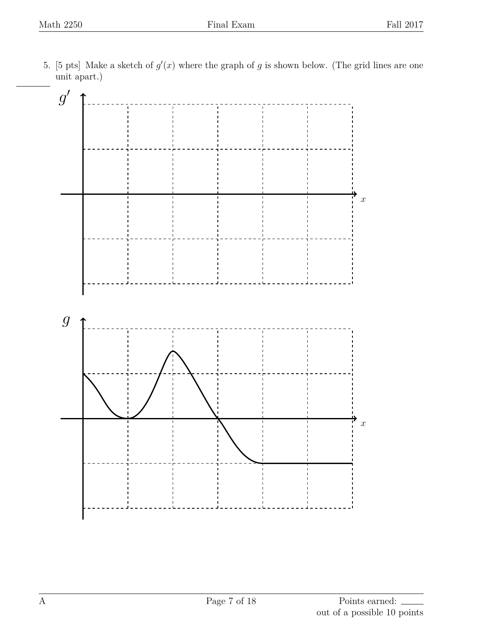5. [5 pts] Make a sketch of  $g'(x)$  where the graph of g is shown below. (The grid lines are one unit apart.)

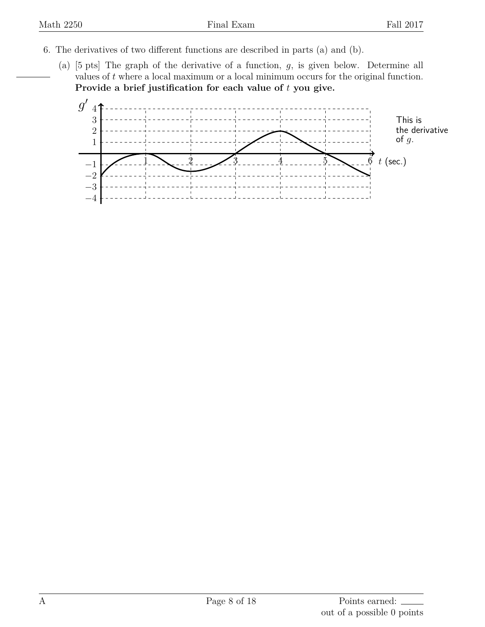- 6. The derivatives of two different functions are described in parts (a) and (b).
	- (a) [5 pts] The graph of the derivative of a function, *g*, is given below. Determine all values of  $t$  where a local maximum or a local minimum occurs for the original function. **Provide a brief justification for each value of** *t* **you give.**

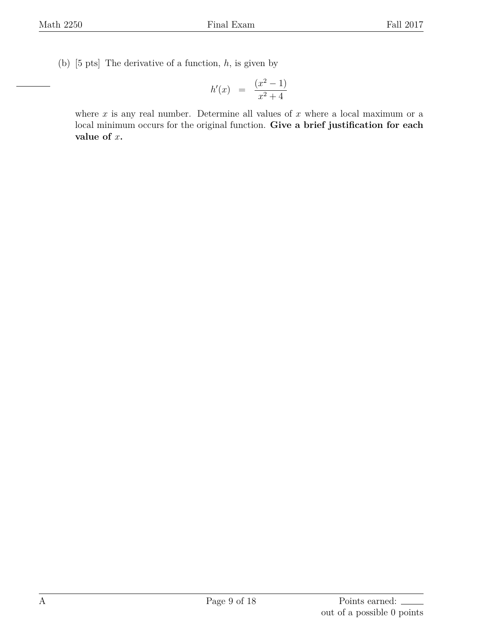(b) [5 pts] The derivative of a function, *h*, is given by

$$
h'(x) = \frac{(x^2 - 1)}{x^2 + 4}
$$

where *x* is any real number. Determine all values of *x* where a local maximum or a local minimum occurs for the original function. **Give a brief justification for each value of** *x***.**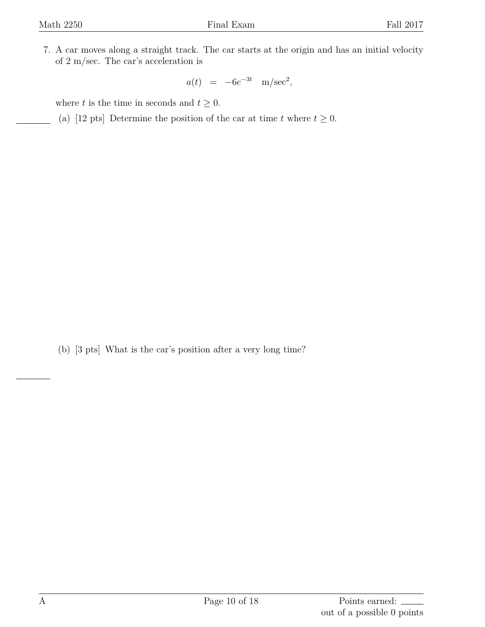7. A car moves along a straight track. The car starts at the origin and has an initial velocity of 2 m/sec. The car's acceleration is

 $a(t) = -6e^{-3t} \text{ m/sec}^2,$ 

where *t* is the time in seconds and  $t \geq 0$ .

(a) [12 pts] Determine the position of the car at time *t* where  $t \geq 0$ .

(b) [3 pts] What is the car's position after a very long time?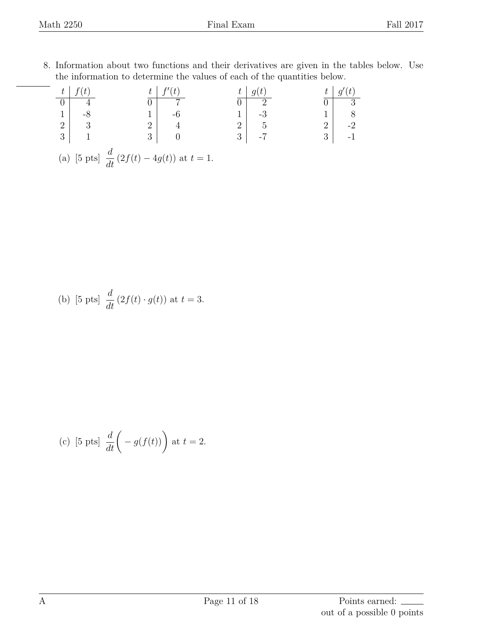8. Information about two functions and their derivatives are given in the tables below. Use the information to determine the values of each of the quantities below.

| $-t_{-1}$                                               |                                                 |                |  |                |                |                |            |  |
|---------------------------------------------------------|-------------------------------------------------|----------------|--|----------------|----------------|----------------|------------|--|
|                                                         |                                                 |                |  |                | റ              |                | - 3        |  |
|                                                         | -8                                              |                |  |                | -3             |                | $1 \mid 8$ |  |
|                                                         | $\begin{array}{c c} 2 & 3 \\ 3 & 1 \end{array}$ | 2 <sup>1</sup> |  | $\overline{2}$ | $\overline{5}$ | 2 <sup>1</sup> | $-2$       |  |
|                                                         |                                                 | 3 <sub>1</sub> |  | 3 <sup>1</sup> |                | 3              |            |  |
| (a) [5 pts] $\frac{d}{dt} (2f(t) - 4g(t))$ at $t = 1$ . |                                                 |                |  |                |                |                |            |  |

(b) [5 pts] 
$$
\frac{d}{dt} (2f(t) \cdot g(t))
$$
 at  $t = 3$ .

(c) [5 pts] 
$$
\frac{d}{dt}\left(-g(f(t))\right)
$$
 at  $t = 2$ .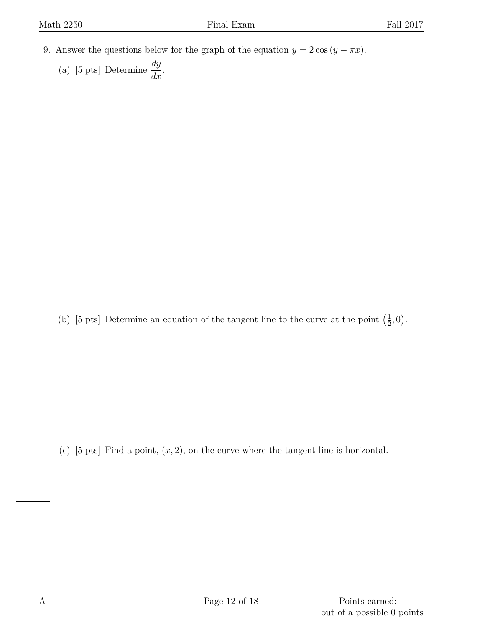- 9. Answer the questions below for the graph of the equation  $y = 2 \cos(y \pi x)$ .
	- (a) [5 pts] Determine  $\frac{dy}{dx}$ .

(b) [5 pts] Determine an equation of the tangent line to the curve at the point  $(\frac{1}{2})$  $(\frac{1}{2}, 0).$ 

(c) [5 pts] Find a point, (*x,* 2), on the curve where the tangent line is horizontal.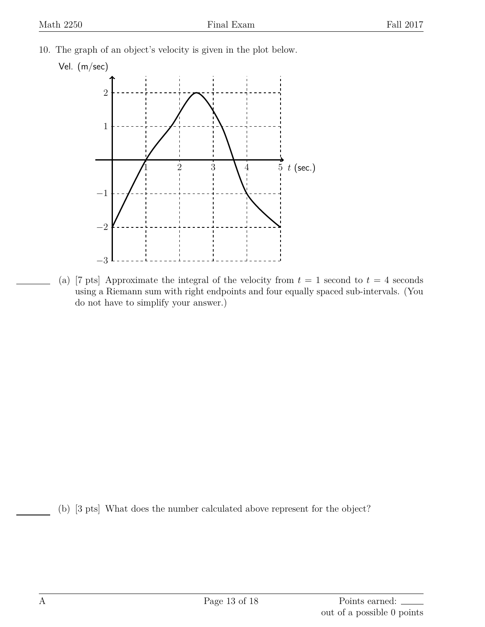10. The graph of an object's velocity is given in the plot below.

## Vel. (m/sec)



(a) [7 pts] Approximate the integral of the velocity from  $t = 1$  second to  $t = 4$  seconds using a Riemann sum with right endpoints and four equally spaced sub-intervals. (You do not have to simplify your answer.)

(b) [3 pts] What does the number calculated above represent for the object?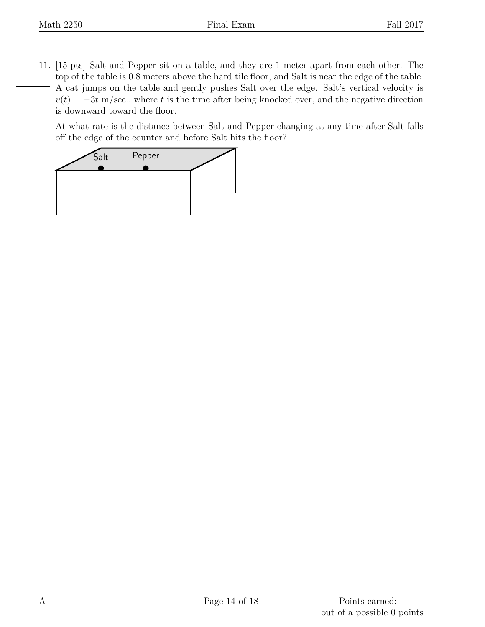11. [15 pts] Salt and Pepper sit on a table, and they are 1 meter apart from each other. The top of the table is 0.8 meters above the hard tile floor, and Salt is near the edge of the table. A cat jumps on the table and gently pushes Salt over the edge. Salt's vertical velocity is  $v(t) = -3t$  m/sec., where *t* is the time after being knocked over, and the negative direction is downward toward the floor.

At what rate is the distance between Salt and Pepper changing at any time after Salt falls off the edge of the counter and before Salt hits the floor?

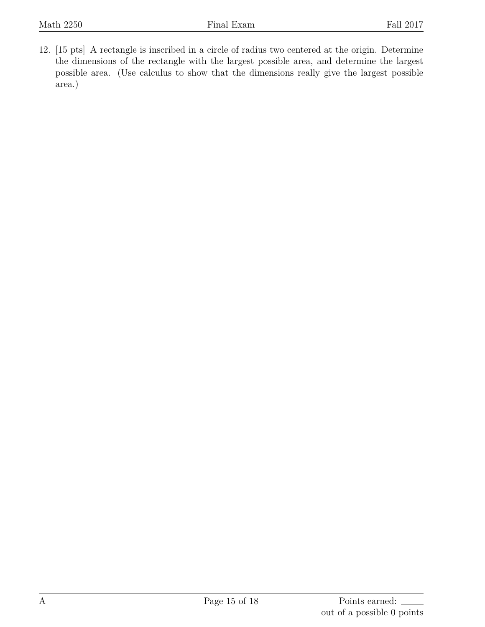12. [15 pts] A rectangle is inscribed in a circle of radius two centered at the origin. Determine the dimensions of the rectangle with the largest possible area, and determine the largest possible area. (Use calculus to show that the dimensions really give the largest possible area.)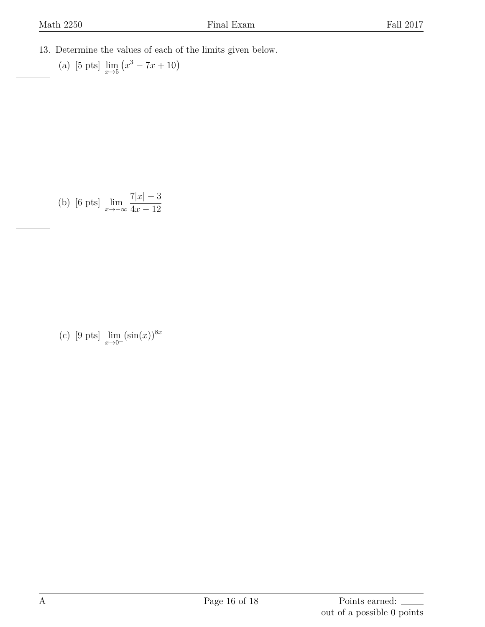13. Determine the values of each of the limits given below.

(a) [5 pts] 
$$
\lim_{x \to 5} (x^3 - 7x + 10)
$$

(b) [6 pts] 
$$
\lim_{x \to -\infty} \frac{7|x| - 3}{4x - 12}
$$

(c) [9 pts] lim *x→*0<sup>+</sup>  $(\sin(x))^{8x}$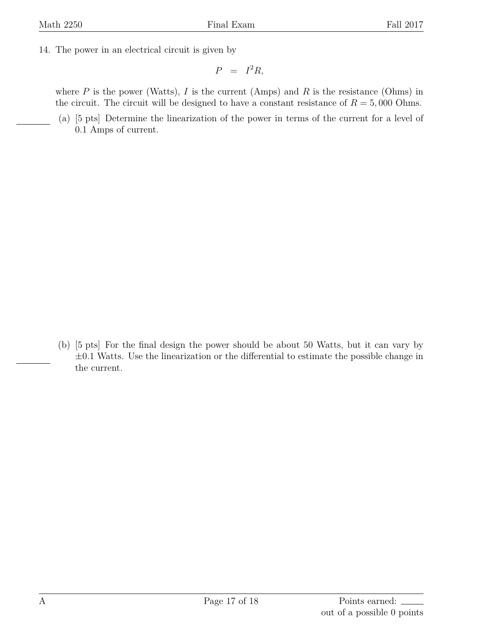14. The power in an electrical circuit is given by

$$
P = I^2 R,
$$

where  $P$  is the power (Watts),  $I$  is the current (Amps) and  $R$  is the resistance (Ohms) in the circuit. The circuit will be designed to have a constant resistance of  $R = 5,000$  Ohms.

(a) [5 pts] Determine the linearization of the power in terms of the current for a level of 0*.*1 Amps of current.

(b) [5 pts] For the final design the power should be about 50 Watts, but it can vary by *±*0*.*1 Watts. Use the linearization or the differential to estimate the possible change in the current.